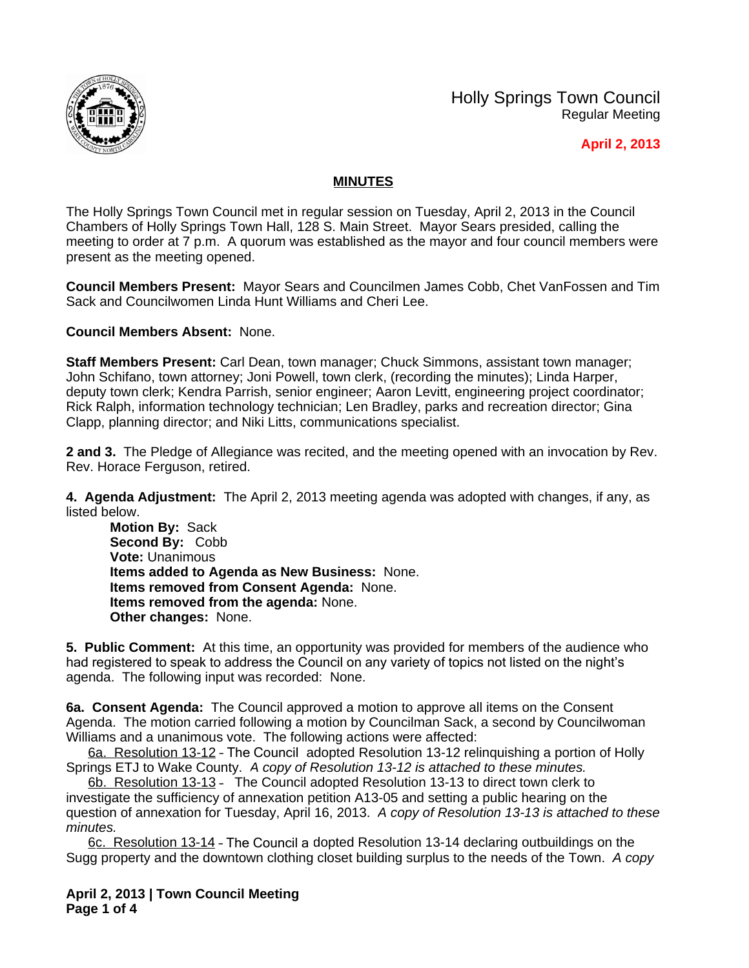

Holly Springs Town Council Regular Meeting

## **April 2, 2013**

## **MINUTES**

The Holly Springs Town Council met in regular session on Tuesday, April 2, 2013 in the Council Chambers of Holly Springs Town Hall, 128 S. Main Street. Mayor Sears presided, calling the meeting to order at 7 p.m. A quorum was established as the mayor and four council members were present as the meeting opened.

**Council Members Present:** Mayor Sears and Councilmen James Cobb, Chet VanFossen and Tim Sack and Councilwomen Linda Hunt Williams and Cheri Lee.

**Council Members Absent:** None.

**Staff Members Present:** Carl Dean, town manager; Chuck Simmons, assistant town manager; John Schifano, town attorney; Joni Powell, town clerk, (recording the minutes); Linda Harper, deputy town clerk; Kendra Parrish, senior engineer; Aaron Levitt, engineering project coordinator; Rick Ralph, information technology technician; Len Bradley, parks and recreation director; Gina Clapp, planning director; and Niki Litts, communications specialist.

**2 and 3.** The Pledge of Allegiance was recited, and the meeting opened with an invocation by Rev. Rev. Horace Ferguson, retired.

**4. Agenda Adjustment:** The April 2, 2013 meeting agenda was adopted with changes, if any, as listed below.

**Motion By:** Sack **Second By:** Cobb **Vote:** Unanimous **Items added to Agenda as New Business:** None. **Items removed from Consent Agenda:** None. **Items removed from the agenda:** None. **Other changes:** None.

**5. Public Comment:** At this time, an opportunity was provided for members of the audience who had registered to speak to address the Council on any variety of topics not listed on the night's agenda. The following input was recorded: None.

**6a. Consent Agenda:** The Council approved a motion to approve all items on the Consent Agenda. The motion carried following a motion by Councilman Sack, a second by Councilwoman Williams and a unanimous vote. The following actions were affected:

6a. Resolution 13-12 – The Council adopted Resolution 13-12 relinquishing a portion of Holly Springs ETJ to Wake County. *A copy of Resolution 13-12 is attached to these minutes.*

6b. Resolution 13-13 – The Council adopted Resolution 13-13 to direct town clerk to investigate the sufficiency of annexation petition A13-05 and setting a public hearing on the question of annexation for Tuesday, April 16, 2013. *A copy of Resolution 13-13 is attached to these minutes.*

6c. Resolution 13-14 – The Council a dopted Resolution 13-14 declaring outbuildings on the Sugg property and the downtown clothing closet building surplus to the needs of the Town. *A copy* 

**April 2, 2013 | Town Council Meeting Page 1 of 4**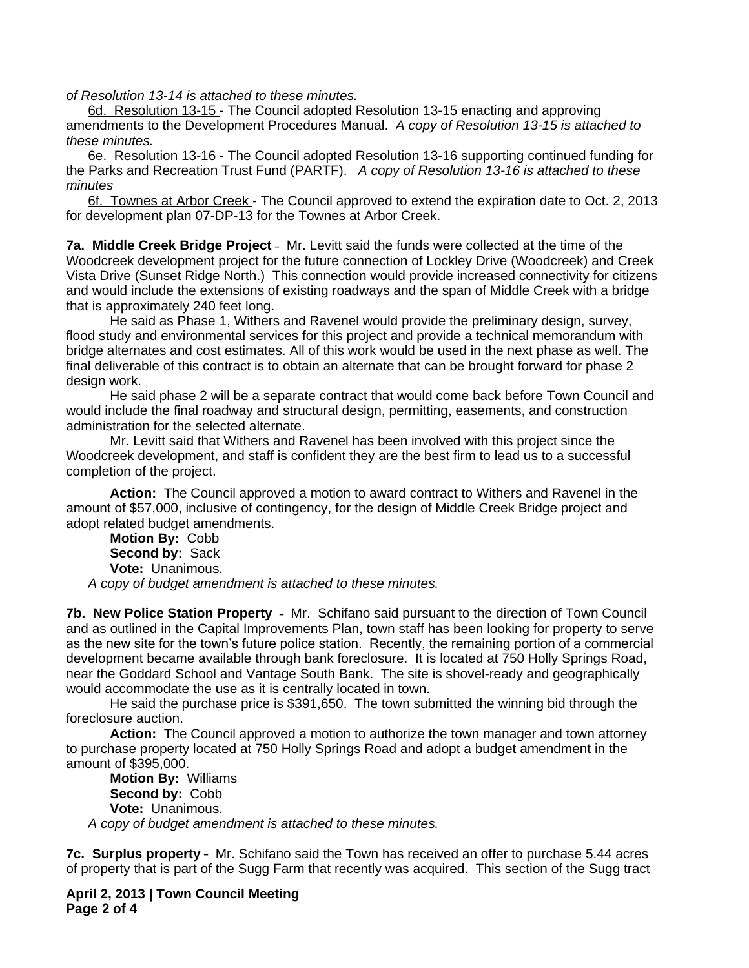*of Resolution 13-14 is attached to these minutes.*

6d. Resolution 13-15 - The Council adopted Resolution 13-15 enacting and approving amendments to the Development Procedures Manual. *A copy of Resolution 13-15 is attached to these minutes.*

6e. Resolution 13-16 - The Council adopted Resolution 13-16 supporting continued funding for the Parks and Recreation Trust Fund (PARTF). *A copy of Resolution 13-16 is attached to these minutes*

6f. Townes at Arbor Creek - The Council approved to extend the expiration date to Oct. 2, 2013 for development plan 07-DP-13 for the Townes at Arbor Creek.

**7a. Middle Creek Bridge Project** – Mr. Levitt said the funds were collected at the time of the Woodcreek development project for the future connection of Lockley Drive (Woodcreek) and Creek Vista Drive (Sunset Ridge North.) This connection would provide increased connectivity for citizens and would include the extensions of existing roadways and the span of Middle Creek with a bridge that is approximately 240 feet long.

He said as Phase 1, Withers and Ravenel would provide the preliminary design, survey, flood study and environmental services for this project and provide a technical memorandum with bridge alternates and cost estimates. All of this work would be used in the next phase as well. The final deliverable of this contract is to obtain an alternate that can be brought forward for phase 2 design work.

He said phase 2 will be a separate contract that would come back before Town Council and would include the final roadway and structural design, permitting, easements, and construction administration for the selected alternate.

Mr. Levitt said that Withers and Ravenel has been involved with this project since the Woodcreek development, and staff is confident they are the best firm to lead us to a successful completion of the project.

**Action:** The Council approved a motion to award contract to Withers and Ravenel in the amount of \$57,000, inclusive of contingency, for the design of Middle Creek Bridge project and adopt related budget amendments.

**Motion By:** Cobb **Second by:** Sack **Vote:** Unanimous.

*A copy of budget amendment is attached to these minutes.*

**7b. New Police Station Property** – Mr. Schifano said pursuant to the direction of Town Council and as outlined in the Capital Improvements Plan, town staff has been looking for property to serve as the new site for the town's future police station. Recently, the remaining portion of a commercial development became available through bank foreclosure. It is located at 750 Holly Springs Road, near the Goddard School and Vantage South Bank. The site is shovel-ready and geographically would accommodate the use as it is centrally located in town.

He said the purchase price is \$391,650. The town submitted the winning bid through the foreclosure auction.

**Action:** The Council approved a motion to authorize the town manager and town attorney to purchase property located at 750 Holly Springs Road and adopt a budget amendment in the amount of \$395,000.

**Motion By:** Williams **Second by:** Cobb **Vote:** Unanimous. *A copy of budget amendment is attached to these minutes.*

**7c. Surplus property** – Mr. Schifano said the Town has received an offer to purchase 5.44 acres of property that is part of the Sugg Farm that recently was acquired. This section of the Sugg tract

**April 2, 2013 | Town Council Meeting Page 2 of 4**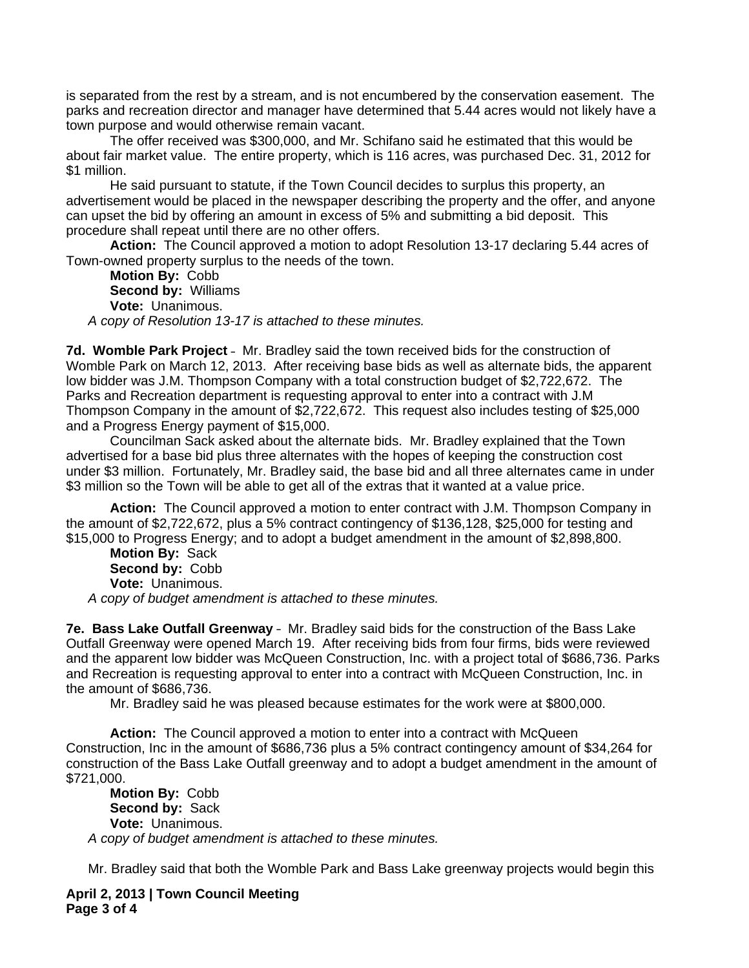is separated from the rest by a stream, and is not encumbered by the conservation easement. The parks and recreation director and manager have determined that 5.44 acres would not likely have a town purpose and would otherwise remain vacant.

The offer received was \$300,000, and Mr. Schifano said he estimated that this would be about fair market value. The entire property, which is 116 acres, was purchased Dec. 31, 2012 for \$1 million.

He said pursuant to statute, if the Town Council decides to surplus this property, an advertisement would be placed in the newspaper describing the property and the offer, and anyone can upset the bid by offering an amount in excess of 5% and submitting a bid deposit. This procedure shall repeat until there are no other offers.

**Action:** The Council approved a motion to adopt Resolution 13-17 declaring 5.44 acres of Town-owned property surplus to the needs of the town.

**Motion By:** Cobb **Second by:** Williams **Vote:** Unanimous. *A copy of Resolution 13-17 is attached to these minutes.*

**7d. Womble Park Project** – Mr. Bradley said the town received bids for the construction of Womble Park on March 12, 2013. After receiving base bids as well as alternate bids, the apparent low bidder was J.M. Thompson Company with a total construction budget of \$2,722,672. The Parks and Recreation department is requesting approval to enter into a contract with J.M Thompson Company in the amount of \$2,722,672. This request also includes testing of \$25,000 and a Progress Energy payment of \$15,000.

Councilman Sack asked about the alternate bids. Mr. Bradley explained that the Town advertised for a base bid plus three alternates with the hopes of keeping the construction cost under \$3 million. Fortunately, Mr. Bradley said, the base bid and all three alternates came in under \$3 million so the Town will be able to get all of the extras that it wanted at a value price.

**Action:** The Council approved a motion to enter contract with J.M. Thompson Company in the amount of \$2,722,672, plus a 5% contract contingency of \$136,128, \$25,000 for testing and \$15,000 to Progress Energy; and to adopt a budget amendment in the amount of \$2,898,800.

**Motion By:** Sack **Second by:** Cobb **Vote:** Unanimous. *A copy of budget amendment is attached to these minutes.*

**7e. Bass Lake Outfall Greenway** – Mr. Bradley said bids for the construction of the Bass Lake Outfall Greenway were opened March 19. After receiving bids from four firms, bids were reviewed and the apparent low bidder was McQueen Construction, Inc. with a project total of \$686,736. Parks and Recreation is requesting approval to enter into a contract with McQueen Construction, Inc. in the amount of \$686,736.

Mr. Bradley said he was pleased because estimates for the work were at \$800,000.

**Action:** The Council approved a motion to enter into a contract with McQueen Construction, Inc in the amount of \$686,736 plus a 5% contract contingency amount of \$34,264 for construction of the Bass Lake Outfall greenway and to adopt a budget amendment in the amount of \$721,000.

**Motion By:** Cobb **Second by:** Sack **Vote:** Unanimous. *A copy of budget amendment is attached to these minutes.*

Mr. Bradley said that both the Womble Park and Bass Lake greenway projects would begin this

**April 2, 2013 | Town Council Meeting Page 3 of 4**